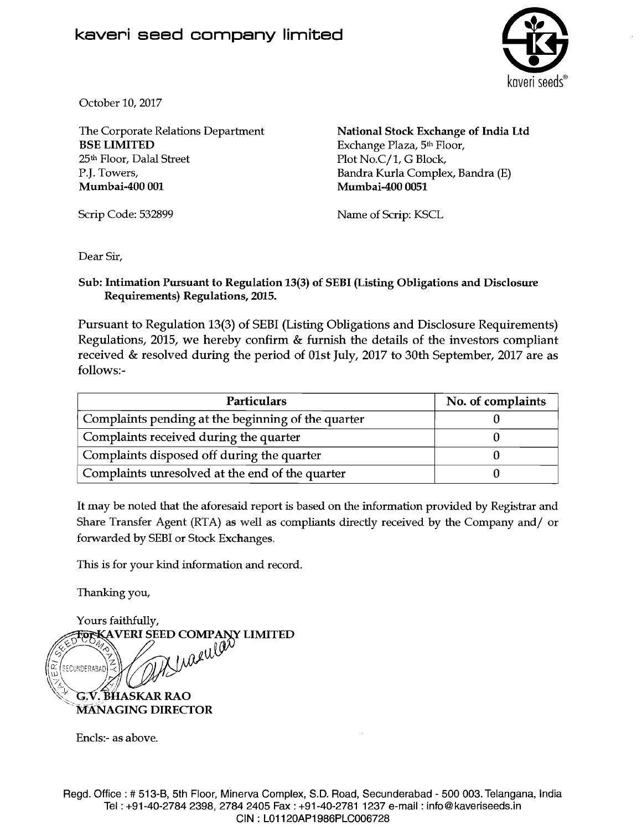

October 10,2017

The Corporate Relations Department BSE LIMITED 25" Floor, Dalal Street P.J. Towers, Mumbai-400 001

National Stock Exchange of India Ltd Exchange Plaza, 5<sup>th</sup> Floor, Plot No.C/1, G Block, Bandra Kurla Complex, Bandra (E) Mumbai-400 0051

Scrip Code: 532899

Name of Scrip: KSCL

Dear Sir,

Sub: Intimation Pursuant to Regulation 13(3) of SEBI (Listing Obligations and Disclosure Requirements) Regulations, 2015.

Pursuant to Regulation 13(3) of SEBI (Listing Obligations and Disclosure Requirements) Regulations, 2015, we hereby confirm & furnish the details of the investors compliant received & resolved during the period of Olst July, 2017 to 30th September, 2017 are as follows:-

| <b>Particulars</b>                                 | No. of complaints |
|----------------------------------------------------|-------------------|
| Complaints pending at the beginning of the quarter |                   |
| Complaints received during the quarter             |                   |
| Complaints disposed off during the quarter         |                   |
| Complaints unresolved at the end of the quarter    |                   |

It may be noled that the aforesaid report is based on the information provided by Registrar and Share Transfer Agent (RTA) as well as compliants directly received by the Company and/ or forwarded by SEBI or Stock Exchanges.

This is for your kind information and record.

Thanking you,



Encls:- as above.